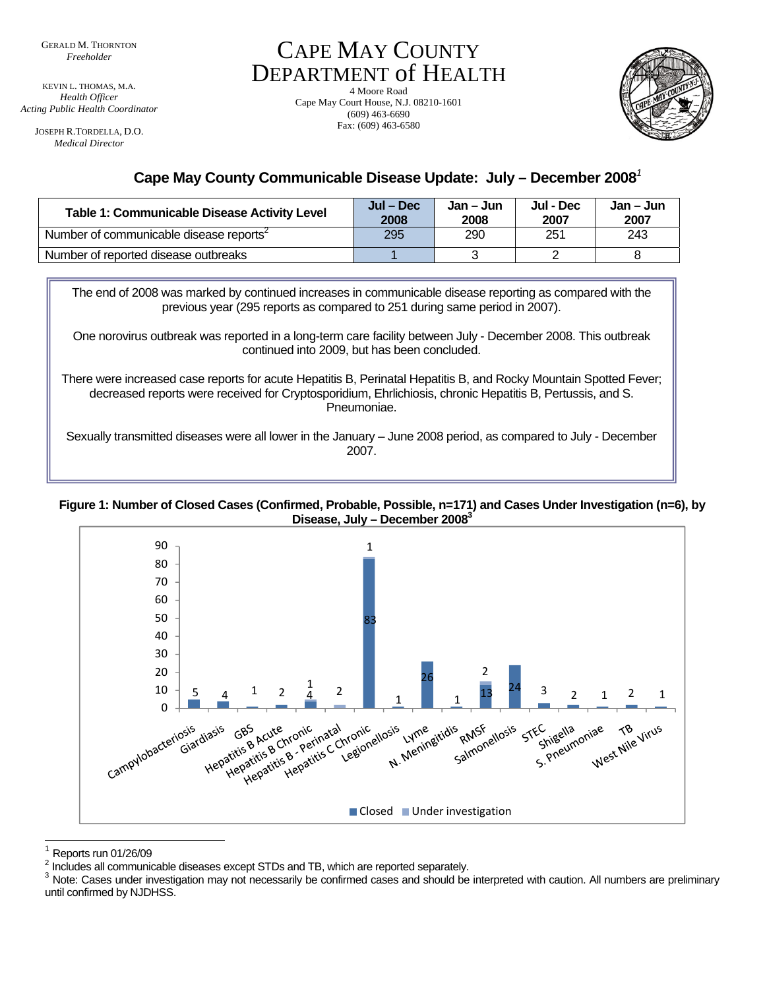KEVIN L. THOMAS, M.A. *Health Officer Acting Public Health Coordinator* 

JOSEPH R.TORDELLA, D.O. *Medical Director*

CAPE MAY COUNTY DEPARTMENT of HEALTH

4 Moore Road Cape May Court House, N.J. 08210-1601 (609) 463-6690 Fax: (609) 463-6580



# **Cape May County Communicable Disease Update: July – December 2008***<sup>1</sup>*

| <b>Table 1: Communicable Disease Activity Level</b> | $Jul - Dec$<br>2008 | Jan – Jun<br>2008 | Jul - Dec<br>2007 | Jan – Jun<br>2007 |
|-----------------------------------------------------|---------------------|-------------------|-------------------|-------------------|
| Number of communicable disease reports <sup>2</sup> | 295                 | 290               | 251               | 243               |
| Number of reported disease outbreaks                |                     |                   |                   |                   |

The end of 2008 was marked by continued increases in communicable disease reporting as compared with the previous year (295 reports as compared to 251 during same period in 2007).

One norovirus outbreak was reported in a long-term care facility between July - December 2008. This outbreak continued into 2009, but has been concluded.

There were increased case reports for acute Hepatitis B, Perinatal Hepatitis B, and Rocky Mountain Spotted Fever; decreased reports were received for Cryptosporidium, Ehrlichiosis, chronic Hepatitis B, Pertussis, and S. Pneumoniae.

Sexually transmitted diseases were all lower in the January – June 2008 period, as compared to July - December 2007.

#### **Figure 1: Number of Closed Cases (Confirmed, Probable, Possible, n=171) and Cases Under Investigation (n=6), by Disease, July – December 20083**



<sup>1</sup> Reports run 01/26/09

<sup>2</sup> Includes all communicable diseases except STDs and TB, which are reported separately.

 $3$  Note: Cases under investigation may not necessarily be confirmed cases and should be interpreted with caution. All numbers are preliminary until confirmed by NJDHSS.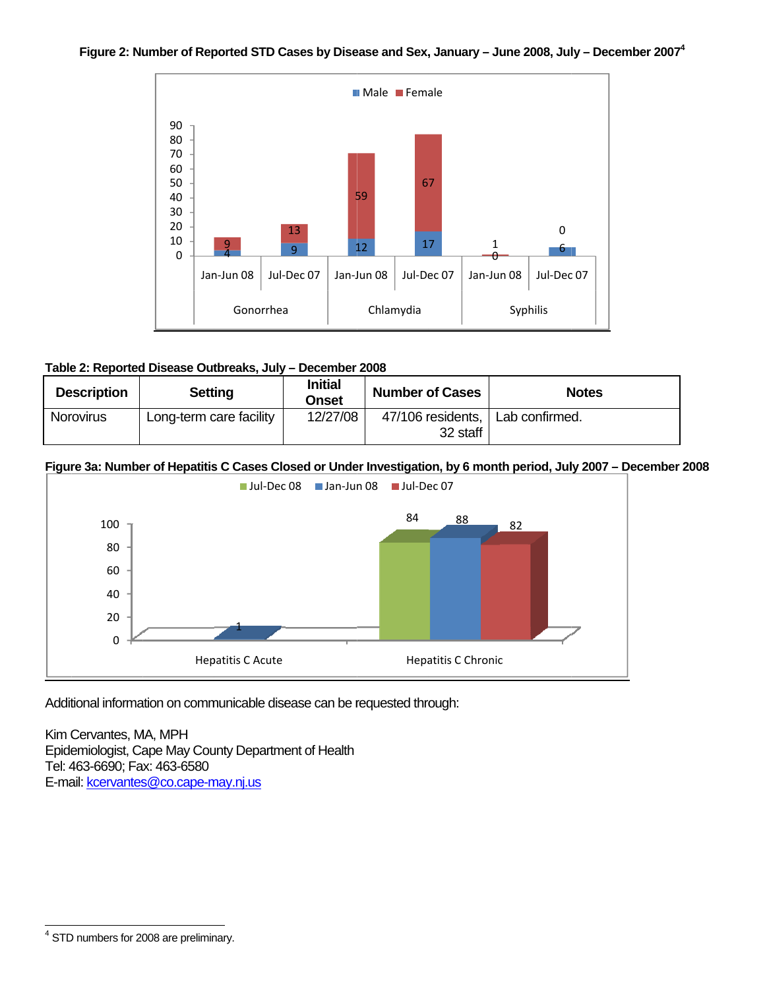#### Figure 2: Number of Reported STD Cases by Disease and Sex, January - June 2008, July - December 2007<sup>4</sup>



### Table 2: Reported Disease Outbreaks, July - December 2008

| <b>Description</b> | <b>Setting</b>          | <b>Initial</b><br><b>Onset</b> | <b>Number of Cases</b>        | <b>Notes</b>   |
|--------------------|-------------------------|--------------------------------|-------------------------------|----------------|
| <b>Norovirus</b>   | Long-term care facility | 12/27/08                       | 47/106 residents,<br>32 staff | Lab confirmed. |

## Figure 3a: Number of Hepatitis C Cases Closed or Under Investigation, by 6 month period, July 2007 - December 2008



Additional information on communicable disease can be requested through:

Kim Cervantes, MA, MPH Epidemiologist, Cape May County Department of Health Tel: 463-6690; Fax: 463-6580 E-mail: kcervantes@co.cape-may.nj.us

 $4$  STD numbers for 2008 are preliminary.